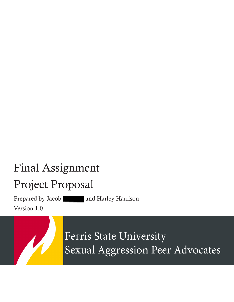# Final Assignment

## Project Proposal

Prepared by Jacob | and Harley Harrison

Version 1.0

Ferris State University Sexual Aggression Peer Advocates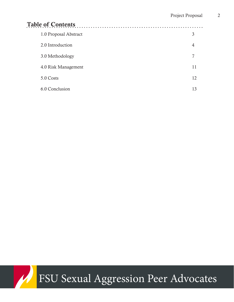| <b>Table of Contents</b><br>. |    |
|-------------------------------|----|
| 1.0 Proposal Abstract         | 3  |
| 2.0 Introduction              | 4  |
| 3.0 Methodology               | 7  |
| 4.0 Risk Management           | 11 |
| 5.0 Costs                     | 12 |
| 6.0 Conclusion                | 13 |

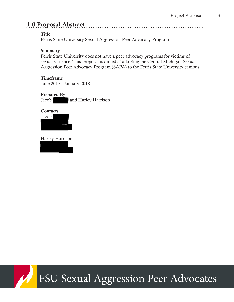### 1.0 Proposal Abstract

#### Title

Ferris State University Sexual Aggression Peer Advocacy Program

#### **Summary**

Ferris State University does not have a peer advocacy programs for victims of sexual violence. This proposal is aimed at adapting the Central Michigan Sexual Aggression Peer Advocacy Program (SAPA) to the Ferris State University campus.

#### Timeframe

June 2017 - January 2018

#### Prepared By

Jacob 1 and Harley Harrison

## **Contacts**



Harley Harrison



## FSU Sexual Aggression Peer Advocates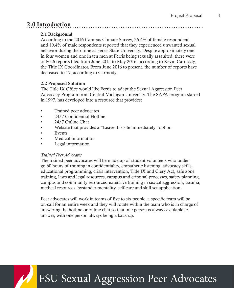## 2.0 Introduction

#### 2.1 Background

According to the 2016 Campus Climate Survey, 26.4% of female respondents and 10.4% of male respondents reported that they experienced unwanted sexual behavior during their time at Ferris State University. Despite approximately one in four women and one in ten men at Ferris being sexually assaulted, there were only 26 reports filed from June 2015 to May 2016, according to Kevin Carmody, the Title IX Coordinator. From June 2016 to present, the number of reports have decreased to 17, according to Carmody.

#### 2.2 Proposed Solution

The Title IX Office would like Ferris to adapt the Sexual Aggression Peer Advocacy Program from Central Michigan University. The SAPA program started in 1997, has developed into a resource that provides:

- Trained peer advocates
- 24/7 Confidential Hotline
- 24/7 Online Chat
- Website that provides a "Leave this site immediately" option
- **Events**
- Medical information
- Legal information

#### *Trained Peer Advocates*

The trained peer advocates will be made up of student volunteers who undergo 60 hours of training in confidentiality, empathetic listening, advocacy skills, educational programming, crisis intervention, Title IX and Clery Act, safe zone training, laws and legal resources, campus and criminal processes, safety planning, campus and community resources, extensive training in sexual aggression, trauma, medical resources, bystander mentality, self-care and skill set application.

Peer advocates will work in teams of five to six people, a specific team will be on-call for an entire week and they will rotate within the team who is in charge of answering the hotline or online chat so that one person is always available to answer, with one person always being a back up.

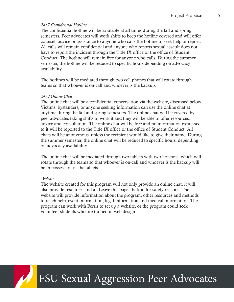#### *24/7 Confidential Hotline*

The confidential hotline will be available at all times during the fall and spring semesters. Peer advocates will work shifts to keep the hotline covered and will offer counsel, advice or assistance to anyone who calls the hotline to seek help or report. All calls will remain confidential and anyone who reports sexual assault does not have to report the incident through the Title IX office or the office of Student Conduct. The hotline will remain free for anyone who calls. During the summer semester, the hotline will be reduced to specific hours depending on advocacy availability.

The hotlines will be mediated through two cell phones that will rotate through teams so that whoever is on-call and whoever is the backup.

#### *24/7 Online Chat*

The online chat will be a confidential conversation via the website, discussed below. Victims, bystanders, or anyone seeking information can use the online chat at anytime during the fall and spring semesters. The online chat will be covered by peer advocates taking shifts to work it and they will be able to offer resources, advice and consultation. The online chat will be free and no information expressed to it will be reported to the Title IX office or the office of Student Conduct. All chats will be anonymous, unless the recipient would like to give their name. During the summer semester, the online chat will be reduced to specific hours, depending on advocacy availability.

The online chat will be mediated through two tablets with two hotspots, which will rotate through the teams so that whoever is on-call and whoever is the backup will be in possession of the tablets.

#### *Website*

The website created for this program will not only provide an online chat, it will also provide resources and a "Leave this page" button for safety reasons. The website will provide information about the program, other resources and methods to reach help, event information, legal information and medical information. The program can work with Ferris to set up a website, or the program could seek volunteer students who are trained in web design.

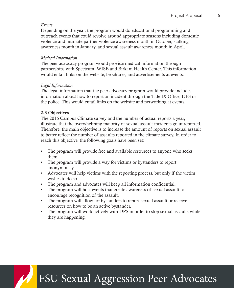#### *Events*

Depending on the year, the program would do educational programming and outreach events that could revolve around appropriate seasons including domestic violence and intimate partner violence awareness month in October, stalking awareness month in January, and sexual assault awareness month in April.

#### *Medical Information*

The peer advocacy program would provide medical information through partnerships with Spectrum, WISE and Birkam Health Center. This information would entail links on the website, brochures, and advertisements at events.

#### *Legal Information*

The legal information that the peer advocacy program would provide includes information about how to report an incident through the Title IX Office, DPS or the police. This would entail links on the website and networking at events.

#### 2.3 Objectives

The 2016 Campus Climate survey and the number of actual reports a year, illustrate that the overwhelming majority of sexual assault incidents go unreported. Therefore, the main objective is to increase the amount of reports on sexual assault to better reflect the number of assaults reported in the climate survey. In order to reach this objective, the following goals have been set:

- The program will provide free and available resources to anyone who seeks them.
- The program will provide a way for victims or bystanders to report anonymously.
- Advocates will help victims with the reporting process, but only if the victim wishes to do so.
- The program and advocates will keep all information confidential.
- The program will host events that create awareness of sexual assault to encourage recognition of the assault.
- The program will allow for bystanders to report sexual assault or receive resources on how to be an active bystander.
- The program will work actively with DPS in order to stop sexual assaults while they are happening.

FSU Sexual Aggression Peer Advocates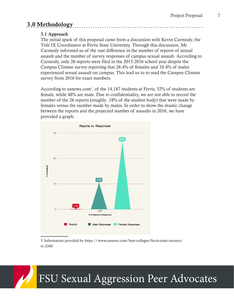## 3.0 Methodology

#### 3.1 Approach

The initial spark of this proposal came from a discussion with Kevin Carmody, the Title IX Coordinator at Ferris State University. Through this discussion, Mr. Carmody informed us of the vast difference in the number of reports of sexual assault and the number of survey responses of campus sexual assault. According to Carmody, only 26 reports were filed in the 2015-2016 school year despite the Campus Climate survey reporting that 26.4% of females and 10.4% of males experienced sexual assault on campus. This lead us to to read the Campus Climate survey from 2016 for exact numbers.

According to usnews.com<sup>1</sup>, of the 14,187 students at Ferris, 52% of students are female, while 48% are male. Due to confidentiality, we are not able to record the number of the 26 reports (roughly .18% of the student body) that were made by females versus the number made by males. In order to show the drastic change between the reports and the projected number of assaults in 2016, we have provided a graph.



1 Information provided by https://www.usnews.com/best-colleges/ferris-state-university-2260.

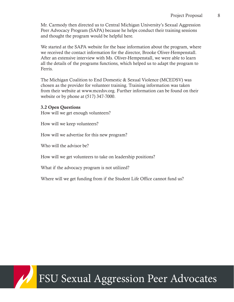Mr. Carmody then directed us to Central Michigan University's Sexual Aggression Peer Advocacy Program (SAPA) because he helps conduct their training sessions and thought the program would be helpful here.

We started at the SAPA website for the base information about the program, where we received the contact information for the director, Brooke Oliver-Hempenstall. After an extensive interview with Ms. Oliver-Hempenstall, we were able to learn all the details of the programs functions, which helped us to adapt the program to Ferris.

The Michigan Coalition to End Domestic & Sexual Violence (MCEDSV) was chosen as the provider for volunteer training. Training information was taken from their website at www.mcedsv.org. Further information can be found on their website or by phone at (517) 347-7000.

3.2 Open Questions How will we get enough volunteers?

How will we keep volunteers?

How will we advertise for this new program?

Who will the advisor be?

How will we get volunteers to take on leadership positions?

What if the advocacy program is not utilized?

Where will we get funding from if the Student Life Office cannot fund us?

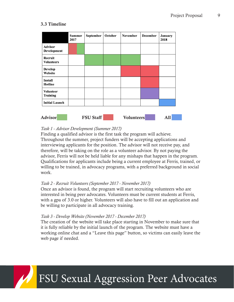#### 3.3 Timeline

|                                     | <b>Summer</b><br>2017 | September | October | <b>November</b> | <b>December</b> | January<br>2018 |
|-------------------------------------|-----------------------|-----------|---------|-----------------|-----------------|-----------------|
| <b>Advisor</b><br>Development       |                       |           |         |                 |                 |                 |
| Recruit<br><b>Volunteers</b>        |                       |           |         |                 |                 |                 |
| <b>Develop</b><br>Website           |                       |           |         |                 |                 |                 |
| <b>Install</b><br>Hotline           |                       |           |         |                 |                 |                 |
| <b>Volunteer</b><br><b>Training</b> |                       |           |         |                 |                 |                 |
| <b>Initial Launch</b>               |                       |           |         |                 |                 |                 |

#### *Task 1 - Advisor Development (Summer 2017)*

Finding a qualified advisor is the first task the program will achieve. Throughout the summer, project funders will be accepting applications and interviewing applicants for the position. The advisor will not receive pay, and therefore, will be taking on the role as a volunteer advisor. By not paying the advisor, Ferris will not be held liable for any mishaps that happen in the program. Qualifications for applicants include being a current employee at Ferris, trained, or willing to be trained, in advocacy programs, with a preferred background in social work.

#### *Task 2 - Recruit Volunteers (September 2017 - November 2017)*

Once an advisor is found, the program will start recruiting volunteers who are interested in being peer advocates. Volunteers must be current students at Ferris, with a gpa of 3.0 or higher. Volunteers will also have to fill out an application and be willing to participate in all advocacy training.

#### *Task 3 - Develop Website (November 2017 - December 2017)*

The creation of the website will take place starting in November to make sure that it is fully reliable by the initial launch of the program. The website must have a working online chat and a "Leave this page" button, so victims can easily leave the web page if needed.

## FSU Sexual Aggression Peer Advocates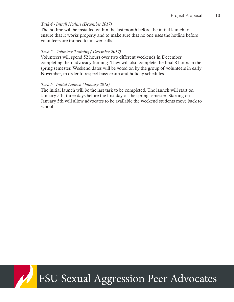#### *Task 4 - Install Hotline (December 2017)*

The hotline will be installed within the last month before the initial launch to ensure that it works properly and to make sure that no one uses the hotline before volunteers are trained to answer calls.

#### *Task 5 - Volunteer Training ( December 2017)*

Volunteers will spend 52 hours over two different weekends in December completing their advocacy training. They will also complete the final 8 hours in the spring semester. Weekend dates will be voted on by the group of volunteers in early November, in order to respect busy exam and holiday schedules.

#### *Task 6 - Initial Launch (January 2018)*

The initial launch will be the last task to be completed. The launch will start on January 5th, three days before the first day of the spring semester. Starting on January 5th will allow advocates to be available the weekend students move back to school.

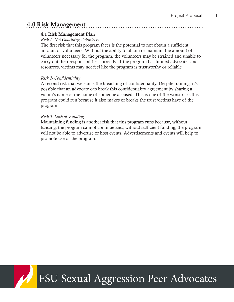### 4.0 Risk Management

#### 4.1 Risk Management Plan

#### *Risk 1- Not Obtaining Volunteers*

The first risk that this program faces is the potential to not obtain a sufficient amount of volunteers. Without the ability to obtain or maintain the amount of volunteers necessary for the program, the volunteers may be strained and unable to carry out their responsibilities correctly. If the program has limited advocates and resources, victims may not feel like the program is trustworthy or reliable.

#### *Risk 2- Confidentiality*

A second risk that we run is the breaching of confidentiality. Despite training, it's possible that an advocate can break this confidentiality agreement by sharing a victim's name or the name of someone accused. This is one of the worst risks this program could run because it also makes or breaks the trust victims have of the program.

#### *Risk 3- Lack of Funding*

Maintaining funding is another risk that this program runs because, without funding, the program cannot continue and, without sufficient funding, the program will not be able to advertise or host events. Advertisements and events will help to promote use of the program.

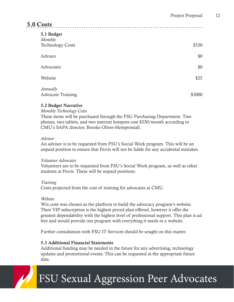### 5.0 Costs

| 5.1 Budget<br>Monthly                |        |
|--------------------------------------|--------|
| <b>Technology Costs</b>              | \$330  |
| Advisor                              | \$0    |
| Advocates                            | \$0    |
| Website                              | \$25   |
| Annually<br><b>Advocate Training</b> | \$3000 |

#### 5.2 Budget Narrative

*Monthly Technology Costs* 

These items will be purchased through the FSU Purchasing Department. Two phones, two tablets, and two internet hotspots cost \$330/month according to CMU's SAPA director, Brooke Oliver-Hempenstall.

#### *Advisor*

An advisor is to be requested from FSU's Social Work program. This will be an unpaid position to ensure that Ferris will not be liable for any accidental mistakes.

#### *Volunteer Advocates*

Volunteers are to be requested from FSU's Social Work program, as well as other students at Ferris. These will be unpaid positions.

#### *Training*

Costs projected from the cost of training for advocates at CMU.

#### *Website*

Wix.com was chosen as the platform to build the advocacy program's website. Their VIP subscription is the highest priced plan offered, however it offer the greatest dependability with the highest level of professional support. This plan is ad free and would provide our program with everything it needs in a website.

Further consultation with FSU IT Services should be sought on this matter.

#### 5.3 Additional Financial Statements

Additional funding may be needed in the future for any advertising, technology updates and promotional events. This can be requested at the appropriate future date.